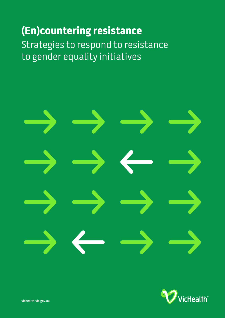# **(En)countering resistance**

Strategies to respond to resistance to gender equality initiatives





**vichealth.vic.gov.au**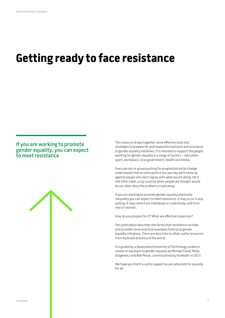# **Getting ready to face resistance**

## **If you are working to promote gender equality, you can expect to meet resistance**



This resource draws together some effective tools and strategies to prepare for and respond to backlash and resistance to gender equality initiatives. It's intended to support the people working for gender equality in a range of sectors – education, sport, workplace, local government, health and media.

Every person or group pushing for progressive social change understands that at some point in our journey we'll come up against people who don't agree with what we are doing. Yet it still often takes us by surprise when people we thought would be our allies deny the problem or look away.

If you are working to promote gender equality and tackle inequality you can expect to meet resistance. It may occur in any setting. It may come from individuals or collectively, and from men or women.

How do you prepare for it? What are effective responses?

This publication describes the forms that resistance can take and provides some practical examples from local gender equality initiatives. There are also links to other useful resources from Australia and around the world.

It is guided by a Queensland University of Technology evidence review on backlash to gender equality by Michael Flood, Molly Dragiewicz and Bob Pease, commissioned by VicHealth in 2017.

We hope you find it a useful support as you advocate for equality for all.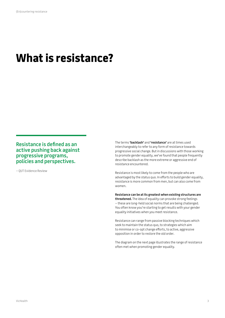# **What is resistance?**

## **Resistance is defined as an active pushing back against progressive programs, policies and perspectives.**

– QUT Evidence Review

The terms **'backlash'** and **'resistance'** are at times used interchangeably to refer to any form of resistance towards progressive social change. But in discussions with those working to promote gender equality, we've found that people frequently describe backlash as the more extreme or aggressive end of resistance encountered.

Resistance is most likely to come from the people who are advantaged by the status quo. In efforts to build gender equality, resistance is more common from men, but can also come from women.

**Resistance can be at its greatest when existing structures are threatened.** The idea of equality can provoke strong feelings – these are long-held social norms that are being challenged. You often know you're starting to get results with your gender equality initiatives when you meet resistance.

Resistance can range from passive blocking techniques which seek to maintain the status quo, to strategies which aim to minimise or co-opt change efforts, to active, aggressive opposition in order to restore the old order.

The diagram on the next page illustrates the range of resistance often met when promoting gender equality.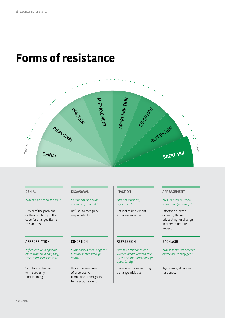# **Forms of resistance**



#### *"There's no problem here." "It's not my job to do*

Denial of the problem or the credibility of the case for change. Blame the victims.

### APPROPRIATION | CO-OPTION | REPRESSION | BACKLASH

*"Of course we'd appoint more women, if only they were more experienced."*

Simulating change while covertly undermining it.

*something about it."*

Refusal to recognise responsibility.

*"What about men's rights? Men are victims too, you know."*

Using the language of progressive frameworks and goals for reactionary ends.

#### *"It's not a priority right now."*

Refusal to implement a change initiative.

*"We tried that once and women didn't want to take up the promotion/training/ opportunity."*

Reversing or dismantling a change initiative.

#### DENIAL DISAVOWAL INACTION APPEASEMENT

#### *"Yes. Yes. We must do something (one day)."*

Efforts to placate or pacify those advocating for change in order to limit its impact.

*"These feminists deserve all the abuse they get."*

Aggressive, attacking response.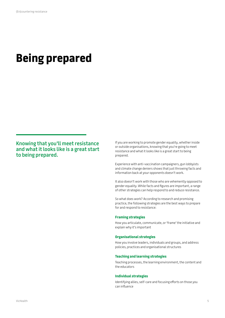# **Being prepared**

**Knowing that you'll meet resistance and what it looks like is a great start to being prepared.**

If you are working to promote gender equality, whether inside or outside organisations, knowing that you're going to meet resistance and what it looks like is a great start to being prepared.

Experience with anti-vaccination campaigners, gun lobbyists and climate change deniers shows that just throwing facts and information back at your opponents doesn't work.

It also doesn't work with those who are vehemently opposed to gender equality. While facts and figures are important, a range of other strategies can help respond to and reduce resistance.

So what does work? According to research and promising practice, the following strategies are the best ways to prepare for and respond to resistance:

#### **Framing strategies**

How you articulate, communicate, or 'frame' the initiative and explain why it's important

#### **Organisational strategies**

How you involve leaders, individuals and groups, and address policies, practices and organisational structures

### **Teaching and learning strategies**

Teaching processes, the learning environment, the content and the educators

#### **Individual strategies**

Identifying allies, self-care and focusing efforts on those you can influence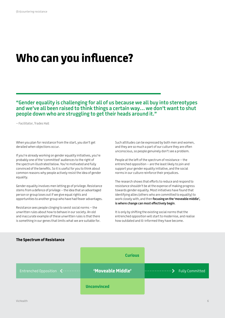# **Who can you influence?**

**"Gender equality is challenging for all of us because we all buy into stereotypes and we've all been raised to think things a certain way… we don't want to shut people down who are struggling to get their heads around it."** 

– Facilitator, Trades Hall

When you plan for resistance from the start, you don't get derailed when objections occur.

If you're already working on gender equality initiatives, you're probably one of the 'committed' audiences to the right of the spectrum illustrated below. You're motivated and fully convinced of the benefits. So it is useful for you to think about common reasons why people actively resist the idea of gender equality.

Gender equality involves men letting go of privilege. Resistance stems from a defence of privilege – the idea that an advantaged person or group loses out if we give equal rights and opportunities to another group who have had fewer advantages.

Resistance sees people clinging to sexist social norms – the unwritten rules about how to behave in our society. An old and inaccurate example of these unwritten rules is that there is something in our genes that limits what we are suitable for. Such attitudes can be expressed by both men and women, and they are so much a part of our culture they are often unconscious, so people genuinely don't see a problem.

People at the left of the spectrum of resistance – the entrenched opposition – are the least likely to join and support your gender equality initiative, and the social norms in our culture reinforce their prejudices.

The research shows that efforts to reduce and respond to resistance shouldn't be at the expense of making progress towards gender equality. Most initiatives have found that identifying allies (others who are committed to equality) to work closely with, and then **focusing on the 'moveable middle', is where change can most effectively begin**.

It is only by shifting the existing social norms that the entrenched opposition will start to modernise, and realise how outdated and ill-informed they have become.



#### **The Spectrum of Resistance**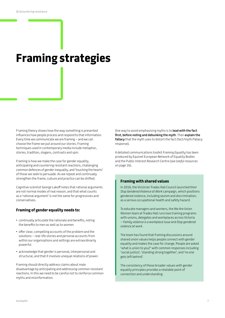# **Framing strategies**

Framing theory shows how the way something is presented influences how people process and respond to that information. Every time we communicate we are framing – and we can choose the frame we put around our stories. Framing techniques used in contemporary media include metaphor, stories, tradition, slogans, contrasts and spin.

Framing is how we make the case for gender equality, anticipating and countering resistant reactions, challenging common defences of gender inequality, and 'touching the hearts' of those we seek to persuade. As we repeat and continually strengthen the frame, culture and practice can be shifted.

Cognitive scientist George Lakoff notes that rational arguments are not normal modes of real reason, and that what counts as a 'rational argument' is not the same for progressives and conservatives.

### **Framing of gender equality needs to:**

- continually articulate the rationale and benefits, noting the benefits to men as well as to women
- offer clear, compelling accounts of the problem and the solutions – real-life stories and personal accounts from within our organisations and settings are extraordinarily powerful
- acknowledge that gender is personal, interpersonal and structural, and that it involves unequal relations of power.

Framing should directly address claims about male disadvantage by anticipating and addressing common resistant reactions. In this we need to be careful not to reinforce common myths and misinformation.

One way to avoid emphasising myths is to **lead with the fact first, before noting and debunking the myth**. Then **explain the fallacy** that the myth uses to distort the fact (fact/myth/fallacy response).

A detailed communications toolkit *Framing Equality* has been produced by Equinet European Network of Equality Bodies and the Public Interest Research Centre (see *Useful resources* on page 16).

### **Framing with shared values**

In 2016, the Victorian Trades Hall Council launched their *Stop Gendered Violence at Work* campaign, which positions gendered violence, including sexism and discrimination, as a serious occupational health and safety hazard.

To educate managers and workers, the We Are Union Women team at Trades Hall runs two training programs with unions, delegates and workplaces across Victoria – *Family violence is a workplace issue* and *Stop gendered violence at work*.

The team has found that framing discussions around shared union values helps people connect with gender equality and makes the case for change. People are asked 'what is union to you?' with common responses including 'social justice', 'standing strong together', and 'no one gets left behind'.

The consistency of these broader values with gender equality principles provides a relatable point of connection and understanding.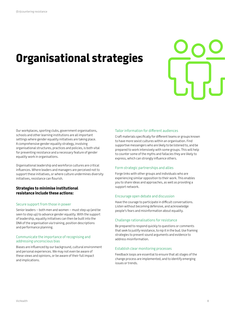# **Organisational strategies**



Our workplaces, sporting clubs, government organisations, schools and other learning institutions are all important settings where gender equality initiatives are taking place. A comprehensive gender equality strategy, involving organisational structures, practices and policies, is both vital for preventing resistance and a necessary feature of gender equality work in organisations.

Organisational leadership and workforce cultures are critical influences. Where leaders and managers are perceived not to support these initiatives, or where culture undermines diversity initiatives, resistance can flourish.

### **Strategies to minimise institutional resistance include these actions:**

#### Secure support from those in power

Senior leaders – both men and women – must step up (and be seen to step up) to advance gender equality. With the support of leadership, equality initiatives can then be built into the DNA of the organisation via training, position descriptions and performance planning.

#### Communicate the importance of recognising and addressing unconscious bias

Biases are influenced by our background, cultural environment and personal experiences. We may not even be aware of these views and opinions, or be aware of their full impact and implications.

#### Tailor information for different audiences

Craft materials specifically for different teams or groups known to have more sexist cultures within an organisation. Find supportive messengers who are likely to be listened to, and be prepared to work intensively with some groups. This will help to counter some of the myths and fallacies they are likely to express, which can strongly influence others.

#### Form strategic partnerships and allies

Forge links with other groups and individuals who are experiencing similar opposition to their work. This enables you to share ideas and approaches, as well as providing a support network.

### Encourage open debate and discussion

Have the courage to participate in difficult conversations. Listen without becoming defensive, and acknowledge people's fears and misinformation about equality.

#### Challenge rationalisations for resistance

Be prepared to respond quickly to questions or comments that seek to justify resistance, to nip it in the bud. Use framing strategies to present sound arguments and evidence to address misinformation.

#### Establish clear monitoring processes

Feedback loops are essential to ensure that all stages of the change process are implemented, and to identify emerging issues or trends.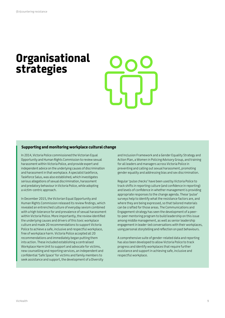# **Organisational strategies**



#### **Supporting and monitoring workplace cultural change**

In 2014, Victoria Police commissioned the Victorian Equal Opportunity and Human Rights Commission to review sexual harassment within Victoria Police, and provide expert and independent advice on the underlying causes of discrimination and harassment in that workplace. A specialist taskforce, Taskforce Salus, was also established, which investigates serious allegations of sexual discrimination, harassment and predatory behaviour in Victoria Police, while adopting a victim-centric approach.

In December 2015, the Victorian Equal Opportunity and Human Rights Commission released its review findings, which revealed an entrenched culture of everyday sexism combined with a high tolerance for and prevalence of sexual harassment within Victoria Police. More importantly, the review identified the underlying causes and drivers of this toxic workplace culture and made 20 recommendations to support Victoria Police to achieve a safe, inclusive and respectful workplace, free of workplace harm. Victoria Police accepted all 20 recommendations and immediately began putting them into action. These included establishing a centralised Workplace Harm Unit to support and advocate for victims, new counselling and reporting services, an independent and confidential 'Safe Space' for victims and family members to seek assistance and support, the development of a Diversity

and Inclusion Framework and a Gender Equality Strategy and Action Plan, a Women in Policing Advisory Group, and training for all leaders and managers across Victoria Police in preventing and calling out sexual harassment, promoting gender equality and addressing bias and sex discrimination.

Regular 'pulse checks' have been used by Victoria Police to track shifts in reporting culture (and confidence in reporting) and levels of confidence in whether management is providing appropriate responses to the change agenda. These 'pulse' surveys help to identify what the resistance factors are, and where they are being expressed, so that tailored materials can be crafted for those areas. The Communications and Engagement strategy has seen the development of a peerto-peer mentoring program to build leadership on this issue among middle management, as well as senior leadership engagement in leader-led conversations with their workplaces, using personal storytelling and reflection on past behaviours.

A comprehensive suite of gender-related data and reporting has also been developed to allow Victoria Police to track progress and identify workplaces that require further assistance and support in achieving safe, inclusive and respectful workplace.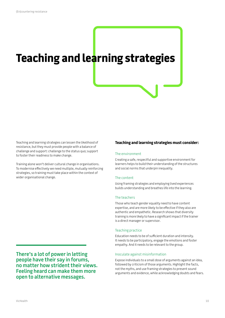# **Teaching and learning strategies**

Teaching and learning strategies can lessen the likelihood of resistance, but they must provide people with a balance of challenge and support: challenge to the status quo; support to foster their readiness to make change.

Training alone won't deliver cultural change in organisations. To modernise effectively we need multiple, mutually reinforcing strategies, so training must take place within the context of wider organisational change.

**There's a lot of power in letting people have their say in forums, no matter how strident their views. Feeling heard can make them more open to alternative messages.** 

### **Teaching and learning strategies must consider:**

#### The environment

Creating a safe, respectful and supportive environment for learners helps to build their understanding of the structures and social norms that underpin inequality.

#### The content

Using framing strategies and employing lived experiences builds understanding and breathes life into the learning.

#### The teachers

Those who teach gender equality need to have content expertise, and are more likely to be effective if they also are authentic and empathetic. Research shows that diversity training is more likely to have a significant impact if the trainer is a direct manager or supervisor.

#### Teaching practice

Education needs to be of sufficient duration and intensity. It needs to be participatory, engage the emotions and foster empathy. And it needs to be relevant to the group.

#### Inoculate against misinformation

Expose individuals to a small dose of arguments against an idea, followed by criticism of those arguments. Highlight the facts, not the myths, and use framing strategies to present sound arguments and evidence, while acknowledging doubts and fears.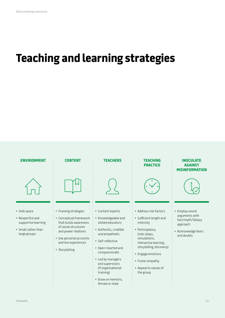# **Teaching and learning strategies**

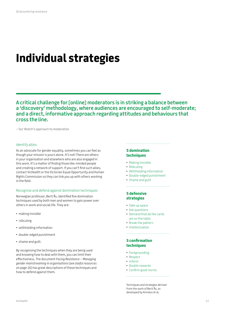# **Individual strategies**

**A critical challenge for [online] moderators is in striking a balance between a 'discovery' methodology, where audiences are encouraged to self-moderate; and a direct, informative approach regarding attitudes and behaviours that cross the line.**

– Our Watch's approach to moderation

#### Identify allies

As an advocate for gender equality, sometimes you can feel as though your mission is yours alone. It's not! There are others in your organisation and elsewhere who are also engaged in this work. It's a matter of finding those like-minded people and creating a network of support. If you can't find such allies, contact VicHealth or the Victorian Equal Opportunity and Human Rights Commission so they can link you up with others working in the field.

#### Recognise and defend against domination techniques

Norwegian professor, Berit Ås, identified five domination techniques used by both men and women to gain power over others in work and social life. They are:

- making invisible
- ridiculing
- withholding information
- double-edged punishment
- shame and guilt.

By recognising the techniques when they are being used and knowing how to deal with them, you can limit their effectiveness. The document *Facing Resistance – Managing gender mainstreaming in organisations* (see *Useful resources* on page 16) has great descriptions of these techniques and how to defend against them.

# **5 domination techniques**

- Making invisible
- Ridiculing
- Withholding information
- Double-edged punishment

• Shame and guilt

## **5 defensive strategies**

- Take up space
- Ask questions
- Demand that all the cards are on the table

- Break the pattern
- Intellectualise

## **5 confirmation techniques**

- Foregrounding
- Respect
- Inform
- Double rewards
- Confirm good norms

Techniques and strategies derived from the work of Berit Ås, as developed by Amnéus et al.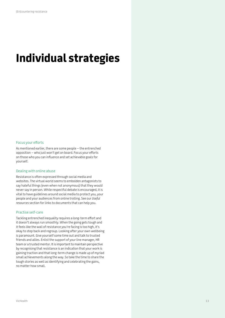# **Individual strategies**

### Focus your efforts

As mentioned earlier, there are some people – the entrenched opposition – who just won't get on board. Focus your efforts on those who you can influence and set achievable goals for yourself.

#### Dealing with online abuse

Resistance is often expressed through social media and websites. The virtual world seems to embolden antagonists to say hateful things (even when not anonymous) that they would never say in person. While respectful debate is encouraged, it is vital to have guidelines around social media to protect you, your people and your audiences from online trolling. See our *Useful resources* section for links to documents that can help you.

### Practise self-care

Tackling entrenched inequality requires a long-term effort and it doesn't always run smoothly. When the going gets tough and it feels like the wall of resistance you're facing is too high, it's okay to step back and regroup. Looking after your own wellbeing is paramount. Give yourself some time out and talk to trusted friends and allies. Enlist the support of your line manager, HR team or a trusted mentor. It is important to maintain perspective by recognising that resistance is an indication that your work is gaining traction and that long-term change is made up of myriad small achievements along the way. So take the time to share the tough stories as well as identifying and celebrating the gains, no matter how small.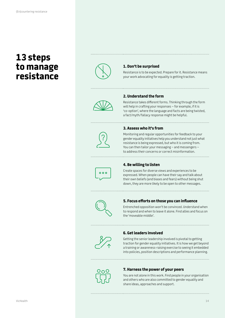# **13 steps to manage resistance**



## **1. Don't be surprised**

Resistance is to be expected. Prepare for it. Resistance means your work advocating for equality is getting traction.



### **2. Understand the form**

Resistance takes different forms. Thinking through the form will help in crafting your responses – for example, if it is 'co-option', where the language and facts are being twisted, a fact/myth/fallacy response might be helpful.

## **3. Assess who it's from**

. . . . . . . . . . . . . . . . . .

Monitoring and regular opportunities for feedback to your gender equality initiatives help you understand not just what resistance is being expressed, but who it is coming from. You can then tailor your messaging – and messengers – to address their concerns or correct misinformation.



### **4. Be willing to listen**

Create spaces for diverse views and experiences to be expressed. When people can have their say and talk about their own beliefs (and biases and fears) without being shut down, they are more likely to be open to other messages.



### **5. Focus efforts on those you can influence**

Entrenched opposition won't be convinced. Understand when to respond and when to leave it alone. Find allies and focus on the 'moveable middle'.



## **6. Get leaders involved**

Getting the senior leadership involved is pivotal to getting traction for gender equality initiatives. It is how we get beyond a training or awareness-raising exercise to seeing it embedded into policies, position descriptions and performance planning.



### **7. Harness the power of your peers**

You are not alone in this work. Find people in your organisation and others who are also committed to gender equality and share ideas, approaches and support.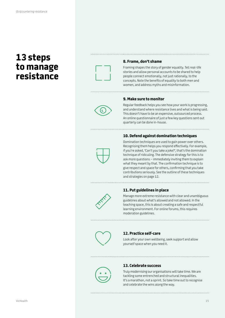# **13 steps to manage resistance**



#### **8. Frame, don't shame**

Framing shapes the story of gender equality. Tell real-life stories and allow personal accounts to be shared to help people connect emotionally, not just rationally, to the concepts. Note the benefits of equality to both men and women, and address myths and misinformation.

### **9. Make sure to monitor**



Regular feedback helps you see how your work is progressing, and understand where resistance lives and what is being said. This doesn't have to be an expensive, outsourced process. An online questionnaire of just a few key questions sent out quarterly can be done in-house.

### **10. Defend against domination techniques**



Domination techniques are used to gain power over others. Recognising them helps you respond effectively. For example, if you're asked, 'Can't you take a joke?', that's the domination technique of ridiculing. The defensive strategy for this is to ask more questions – immediately inviting them to explain what they meant by that. The confirmation technique is to give respect and space for others, confirming that you take contributions seriously. See the outline of these techniques and strategies on page 12.



### **11. Put guidelines in place**

Manage more extreme resistance with clear and unambiguous guidelines about what's allowed and not allowed. In the teaching space, this is about creating a safe and respectful learning environment. For online forums, this requires moderation guidelines.



## **12. Practice self-care**

Look after your own wellbeing, seek support and allow yourself space when you need it.



### **13. Celebrate success**

Truly modernising our organisations will take time. We are tackling some entrenched and structural inequalities. It's a marathon, not a sprint. So take time out to recognise and celebrate the wins along the way.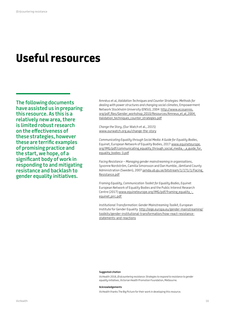# **Useful resources**

**The following documents have assisted us in preparing this resource. As this is a relatively new area, there is limited robust research on the effectiveness of these strategies, however these are terrific examples of promising practice and the start, we hope, of a significant body of work in responding to and mitigating resistance and backlash to gender equality initiatives.**

Amnéus et al, *Validation Techniques and Counter Strategies: Methods for dealing with power structures and changing social climates*, Empowerment Network Stockholm University (ENSU), 2004 [http://www.ecosanres.](http://www.ecosanres.org/pdf_files/Gender_workshop_2010/Resources/Amneus_et_al_2004_Validation_techniques_counter_strategies.pdf) [org/pdf\\_files/Gender\\_workshop\\_2010/Resources/Amneus\\_et\\_al\\_2004\\_](http://www.ecosanres.org/pdf_files/Gender_workshop_2010/Resources/Amneus_et_al_2004_Validation_techniques_counter_strategies.pdf) Validation techniques counter strategies.pdf

*Change the Story*, (Our Watch et al., 2015) www.ourwatch.org.au/change-the-story

*Communicating Equality through Social Media: A Guide for Equality Bodies*, Equinet, European Network of Equality Bodies, 2017 [www.equineteurope.](http://www.equineteurope.org/IMG/pdf/communicating_equality_through_social_media_-_a_guide_for_equality_bodies-3.pdf) org/IMG/pdf/communicating\_equality\_through\_social\_media\_-\_a\_guide\_for [equality\\_bodies-3.pdf](http://www.equineteurope.org/IMG/pdf/communicating_equality_through_social_media_-_a_guide_for_equality_bodies-3.pdf)

*Facing Resistance – Managing gender mainstreaming in organisations*, Syvonne Nordström, Camilla Simonsson and Dan Humble, Jämtland County Administration (Sweden), 2007 jamda.ub.gu.se/bitstream/1/171/1/Facing [Resistance.pdf](http://jamda.ub.gu.se/bitstream/1/171/1/Facing_Resistance.pdf)

*Framing Equality, Communication Toolkit for Equality Bodies*, Equinet European Network of Equality Bodies and the Public Interest Research Centre (2017) [www.equineteurope.org/IMG/pdf/framing\\_equality\\_-\\_](http://www.equineteurope.org/IMG/pdf/framing_equality_-_equinet_pirc.pdf) [equinet\\_pirc.pdf](http://www.equineteurope.org/IMG/pdf/framing_equality_-_equinet_pirc.pdf)

*Institutional Transformation: Gender Mainstreaming Toolkit*, European Institute for Gender Equality [http://eige.europa.eu/gender-mainstreaming/](http://eige.europa.eu/gender-mainstreaming/toolkits/gender-institutional-transformation/how-react-resistance-statements-and-reactions) [toolkits/gender-institutional-transformation/how-react-resistance](http://eige.europa.eu/gender-mainstreaming/toolkits/gender-institutional-transformation/how-react-resistance-statements-and-reactions)[statements-and-reactions](http://eige.europa.eu/gender-mainstreaming/toolkits/gender-institutional-transformation/how-react-resistance-statements-and-reactions)

#### **Suggested citation**

VicHealth 2018, *(En)countering resistance: Strategies to respond to resistance to gender equality initiatives*, Victorian Health Promotion Foundation, Melbourne.

#### **Acknowledgements**

VicHealth thanks The Big Picture for their work in developing this resource.